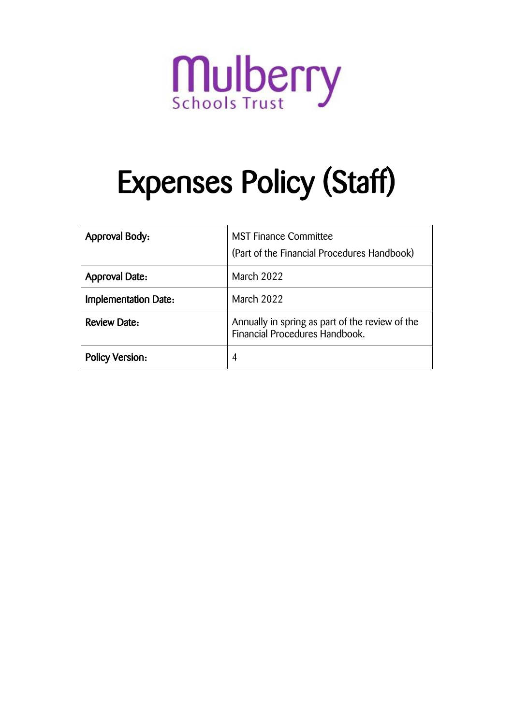

# Expenses Policy (Staff)

| <b>Approval Body:</b>       | <b>MST Finance Committee</b><br>(Part of the Financial Procedures Handbook)       |  |
|-----------------------------|-----------------------------------------------------------------------------------|--|
| <b>Approval Date:</b>       | March 2022                                                                        |  |
| <b>Implementation Date:</b> | March 2022                                                                        |  |
| <b>Review Date:</b>         | Annually in spring as part of the review of the<br>Financial Procedures Handbook. |  |
| <b>Policy Version:</b>      | 4                                                                                 |  |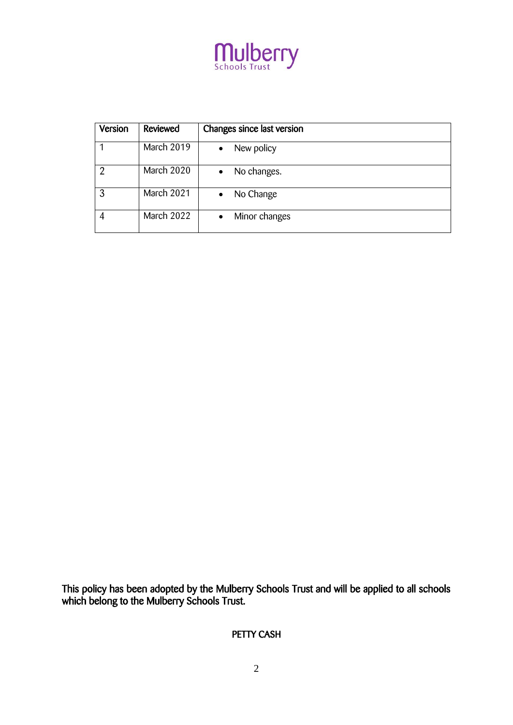

| Version | Reviewed   | Changes since last version |
|---------|------------|----------------------------|
|         | March 2019 | New policy<br>$\bullet$    |
| റ       | March 2020 | No changes.<br>$\bullet$   |
| 3       | March 2021 | No Change<br>$\bullet$     |
|         | March 2022 | Minor changes<br>$\bullet$ |

This policy has been adopted by the Mulberry Schools Trust and will be applied to all schools which belong to the Mulberry Schools Trust.

PETTY CASH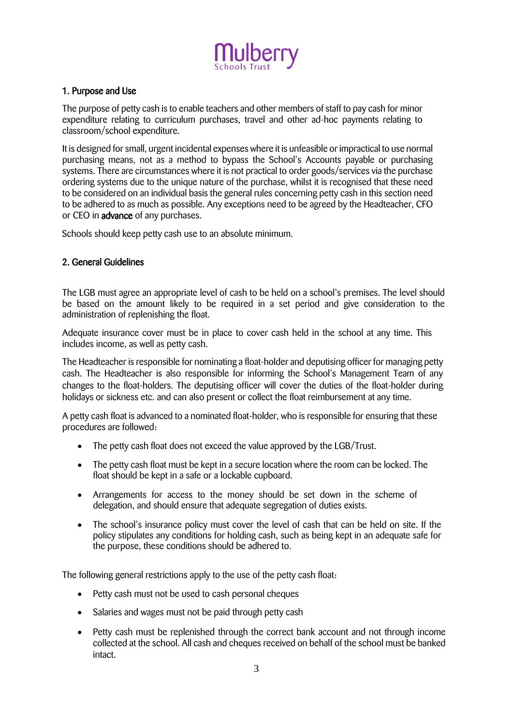

#### 1. Purpose and Use

The purpose of petty cash is to enable teachers and other members of staff to pay cash for minor expenditure relating to curriculum purchases, travel and other ad-hoc payments relating to classroom/school expenditure.

It is designed for small, urgent incidental expenses where it is unfeasible or impractical to use normal purchasing means, not as a method to bypass the School's Accounts payable or purchasing systems. There are circumstances where it is not practical to order goods/services via the purchase ordering systems due to the unique nature of the purchase, whilst it is recognised that these need to be considered on an individual basis the general rules concerning petty cash in this section need to be adhered to as much as possible. Any exceptions need to be agreed by the Headteacher, CFO or CEO in advance of any purchases.

Schools should keep petty cash use to an absolute minimum.

#### 2. General Guidelines

The LGB must agree an appropriate level of cash to be held on a school's premises. The level should be based on the amount likely to be required in a set period and give consideration to the administration of replenishing the float.

Adequate insurance cover must be in place to cover cash held in the school at any time. This includes income, as well as petty cash.

The Headteacher is responsible for nominating a float-holder and deputising officer for managing petty cash. The Headteacher is also responsible for informing the School's Management Team of any changes to the float-holders. The deputising officer will cover the duties of the float-holder during holidays or sickness etc. and can also present or collect the float reimbursement at any time.

A petty cash float is advanced to a nominated float-holder, who is responsible for ensuring that these procedures are followed:

- The petty cash float does not exceed the value approved by the LGB/Trust.
- The petty cash float must be kept in a secure location where the room can be locked. The float should be kept in a safe or a lockable cupboard.
- Arrangements for access to the money should be set down in the scheme of delegation, and should ensure that adequate segregation of duties exists.
- The school's insurance policy must cover the level of cash that can be held on site. If the policy stipulates any conditions for holding cash, such as being kept in an adequate safe for the purpose, these conditions should be adhered to.

The following general restrictions apply to the use of the petty cash float:

- Petty cash must not be used to cash personal cheques
- Salaries and wages must not be paid through petty cash
- Petty cash must be replenished through the correct bank account and not through income collected at the school. All cash and cheques received on behalf of the school must be banked intact.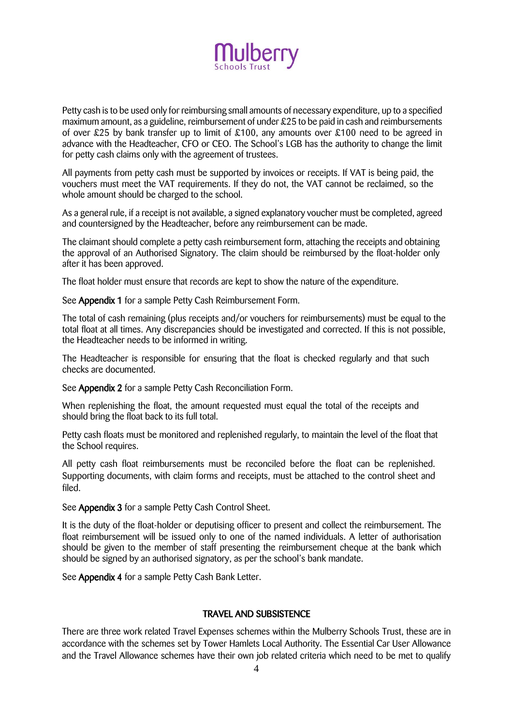

Petty cash is to be used only for reimbursing small amounts of necessary expenditure, up to a specified maximum amount, as a guideline, reimbursement of under £25 to be paid in cash and reimbursements of over £25 by bank transfer up to limit of £100, any amounts over £100 need to be agreed in advance with the Headteacher, CFO or CEO. The School's LGB has the authority to change the limit for petty cash claims only with the agreement of trustees.

All payments from petty cash must be supported by invoices or receipts. If VAT is being paid, the vouchers must meet the VAT requirements. If they do not, the VAT cannot be reclaimed, so the whole amount should be charged to the school.

As a general rule, if a receipt is not available, a signed explanatory voucher must be completed, agreed and countersigned by the Headteacher, before any reimbursement can be made.

The claimant should complete a petty cash reimbursement form, attaching the receipts and obtaining the approval of an Authorised Signatory. The claim should be reimbursed by the float-holder only after it has been approved.

The float holder must ensure that records are kept to show the nature of the expenditure.

See Appendix 1 for a sample Petty Cash Reimbursement Form.

The total of cash remaining (plus receipts and/or vouchers for reimbursements) must be equal to the total float at all times. Any discrepancies should be investigated and corrected. If this is not possible, the Headteacher needs to be informed in writing.

The Headteacher is responsible for ensuring that the float is checked regularly and that such checks are documented.

See Appendix 2 for a sample Petty Cash Reconciliation Form.

When replenishing the float, the amount requested must equal the total of the receipts and should bring the float back to its full total.

Petty cash floats must be monitored and replenished regularly, to maintain the level of the float that the School requires.

All petty cash float reimbursements must be reconciled before the float can be replenished. Supporting documents, with claim forms and receipts, must be attached to the control sheet and filed.

See Appendix 3 for a sample Petty Cash Control Sheet.

It is the duty of the float-holder or deputising officer to present and collect the reimbursement. The float reimbursement will be issued only to one of the named individuals. A letter of authorisation should be given to the member of staff presenting the reimbursement cheque at the bank which should be signed by an authorised signatory, as per the school's bank mandate.

See Appendix 4 for a sample Petty Cash Bank Letter.

#### TRAVEL AND SUBSISTENCE

There are three work related Travel Expenses schemes within the Mulberry Schools Trust, these are in accordance with the schemes set by Tower Hamlets Local Authority. The Essential Car User Allowance and the Travel Allowance schemes have their own job related criteria which need to be met to qualify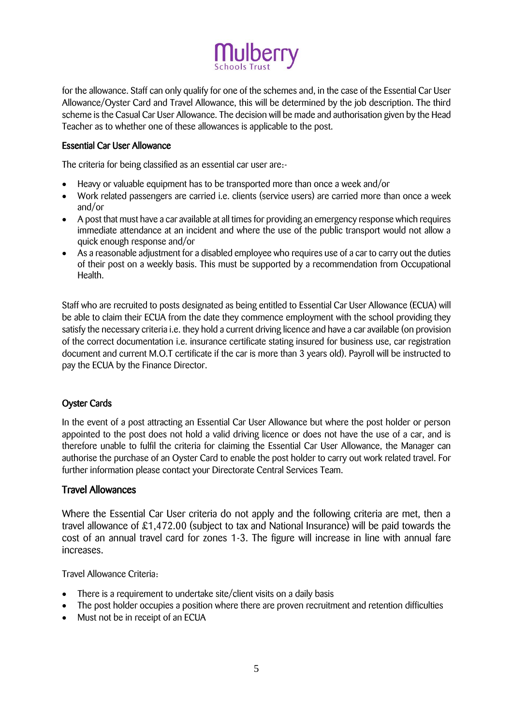# lulberry

for the allowance. Staff can only qualify for one of the schemes and, in the case of the Essential Car User Allowance/Oyster Card and Travel Allowance, this will be determined by the job description. The third scheme is the Casual Car User Allowance. The decision will be made and authorisation given by the Head Teacher as to whether one of these allowances is applicable to the post.

#### Essential Car User Allowance

The criteria for being classified as an essential car user are:-

- Heavy or valuable equipment has to be transported more than once a week and/or
- Work related passengers are carried i.e. clients (service users) are carried more than once a week and/or
- A post that must have a car available at all times for providing an emergency response which requires immediate attendance at an incident and where the use of the public transport would not allow a quick enough response and/or
- As a reasonable adjustment for a disabled employee who requires use of a car to carry out the duties of their post on a weekly basis. This must be supported by a recommendation from Occupational Health.

Staff who are recruited to posts designated as being entitled to Essential Car User Allowance (ECUA) will be able to claim their ECUA from the date they commence employment with the school providing they satisfy the necessary criteria i.e. they hold a current driving licence and have a car available (on provision of the correct documentation i.e. insurance certificate stating insured for business use, car registration document and current M.O.T certificate if the car is more than 3 years old). Payroll will be instructed to pay the ECUA by the Finance Director.

# Oyster Cards

In the event of a post attracting an Essential Car User Allowance but where the post holder or person appointed to the post does not hold a valid driving licence or does not have the use of a car, and is therefore unable to fulfil the criteria for claiming the Essential Car User Allowance, the Manager can authorise the purchase of an Oyster Card to enable the post holder to carry out work related travel. For further information please contact your Directorate Central Services Team.

# Travel Allowances

Where the Essential Car User criteria do not apply and the following criteria are met, then a travel allowance of £1,472.00 (subject to tax and National Insurance) will be paid towards the cost of an annual travel card for zones 1-3. The figure will increase in line with annual fare increases.

Travel Allowance Criteria:

- There is a requirement to undertake site/client visits on a daily basis
- The post holder occupies a position where there are proven recruitment and retention difficulties
- Must not be in receipt of an ECUA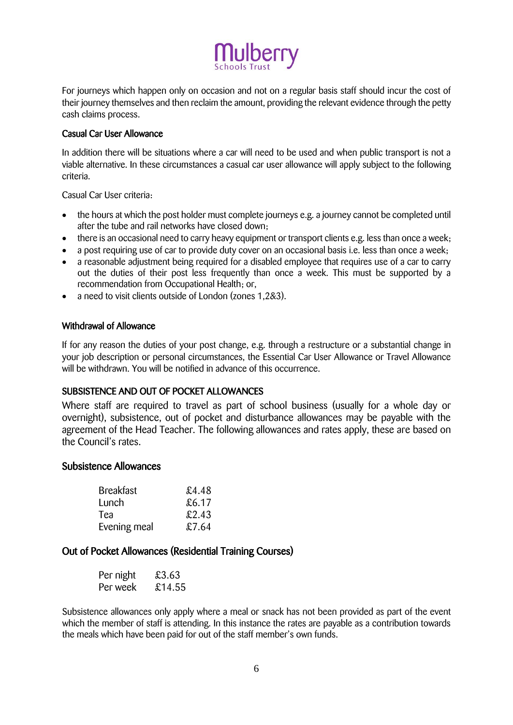

For journeys which happen only on occasion and not on a regular basis staff should incur the cost of their journey themselves and then reclaim the amount, providing the relevant evidence through the petty cash claims process.

#### Casual Car User Allowance

In addition there will be situations where a car will need to be used and when public transport is not a viable alternative. In these circumstances a casual car user allowance will apply subject to the following criteria.

Casual Car User criteria:

- the hours at which the post holder must complete journeys e.g. a journey cannot be completed until after the tube and rail networks have closed down;
- there is an occasional need to carry heavy equipment or transport clients e.g. less than once a week;
- a post requiring use of car to provide duty cover on an occasional basis i.e. less than once a week:
- a reasonable adjustment being required for a disabled employee that requires use of a car to carry out the duties of their post less frequently than once a week. This must be supported by a recommendation from Occupational Health; or,
- a need to visit clients outside of London (zones 1,2&3).

#### Withdrawal of Allowance

If for any reason the duties of your post change, e.g. through a restructure or a substantial change in your job description or personal circumstances, the Essential Car User Allowance or Travel Allowance will be withdrawn. You will be notified in advance of this occurrence.

# SUBSISTENCE AND OUT OF POCKET ALLOWANCES

Where staff are required to travel as part of school business (usually for a whole day or overnight), subsistence, out of pocket and disturbance allowances may be payable with the agreement of the Head Teacher. The following allowances and rates apply, these are based on the Council's rates.

#### Subsistence Allowances

| <b>Breakfast</b> | £4.48 |
|------------------|-------|
| Lunch            | £6.17 |
| Tea              | £2.43 |
| Evening meal     | £7.64 |

# Out of Pocket Allowances (Residential Training Courses)

| Per night | £3.63  |
|-----------|--------|
| Per week  | £14.55 |

Subsistence allowances only apply where a meal or snack has not been provided as part of the event which the member of staff is attending. In this instance the rates are payable as a contribution towards the meals which have been paid for out of the staff member's own funds.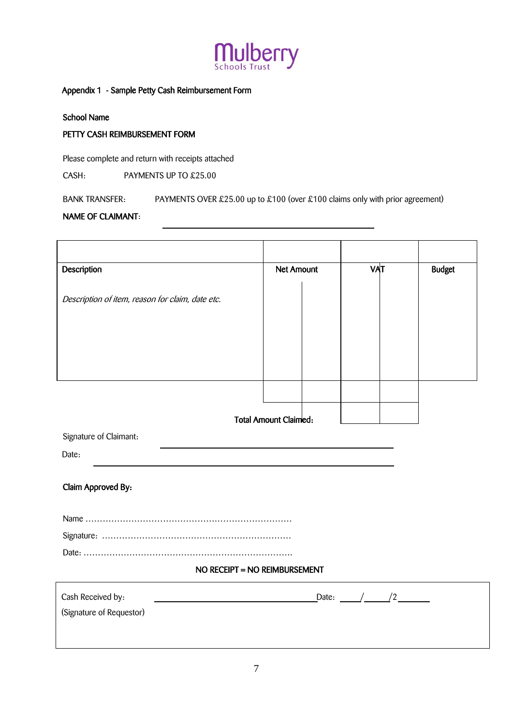

#### Appendix 1 - Sample Petty Cash Reimbursement Form

School Name

#### PETTY CASH REIMBURSEMENT FORM

Please complete and return with receipts attached

CASH: PAYMENTS UP TO £25.00

BANK TRANSFER: PAYMENTS OVER £25.00 up to £100 (over £100 claims only with prior agreement)

#### NAME OF CLAIMANT:

| Description                                      | <b>Net Amount</b>            |  | VAT |  | <b>Budget</b> |
|--------------------------------------------------|------------------------------|--|-----|--|---------------|
|                                                  |                              |  |     |  |               |
| Description of item, reason for claim, date etc. |                              |  |     |  |               |
|                                                  |                              |  |     |  |               |
|                                                  |                              |  |     |  |               |
|                                                  |                              |  |     |  |               |
|                                                  |                              |  |     |  |               |
|                                                  |                              |  |     |  |               |
|                                                  | <b>Total Amount Claimed:</b> |  |     |  |               |
| Signature of Claimant:                           |                              |  |     |  |               |
| Date:                                            |                              |  |     |  |               |
|                                                  |                              |  |     |  |               |
| Claim Approved By:                               |                              |  |     |  |               |
|                                                  |                              |  |     |  |               |
|                                                  |                              |  |     |  |               |
|                                                  |                              |  |     |  |               |
| NO RECEIPT = NO REIMBURSEMENT                    |                              |  |     |  |               |
|                                                  |                              |  |     |  |               |
| Cash Received by:<br>(Signature of Requestor)    |                              |  |     |  |               |
|                                                  |                              |  |     |  |               |
|                                                  |                              |  |     |  |               |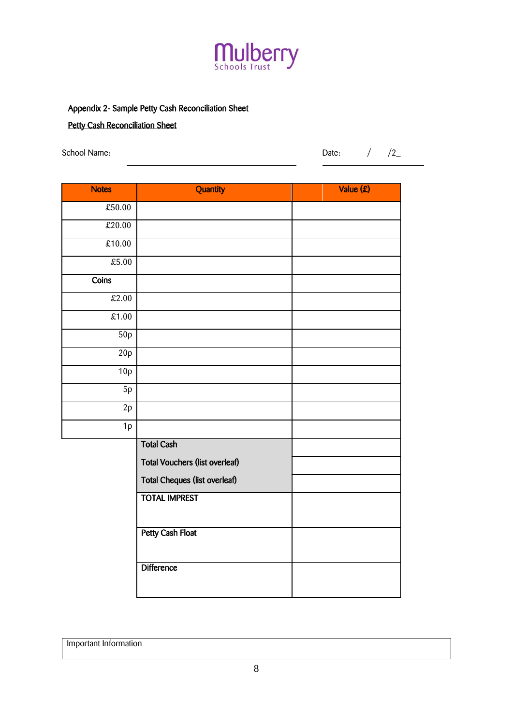

# Appendix 2- Sample Petty Cash Reconciliation Sheet

# **Petty Cash Reconciliation Sheet**

School Name:  $/$  /2\_

| <b>Notes</b> | Quantity                              | Value (£) |
|--------------|---------------------------------------|-----------|
| £50.00       |                                       |           |
| £20.00       |                                       |           |
| £10.00       |                                       |           |
| £5.00        |                                       |           |
| Coins        |                                       |           |
| £2.00        |                                       |           |
| £1.00        |                                       |           |
| 50p          |                                       |           |
| 20p          |                                       |           |
| 10p          |                                       |           |
| 5p           |                                       |           |
| $2{\sf p}$   |                                       |           |
| 1p           |                                       |           |
|              | <b>Total Cash</b>                     |           |
|              | <b>Total Vouchers (list overleaf)</b> |           |
|              | <b>Total Cheques (list overleaf)</b>  |           |
|              | <b>TOTAL IMPREST</b>                  |           |
|              |                                       |           |
|              | <b>Petty Cash Float</b>               |           |
|              | <b>Difference</b>                     |           |

Important Information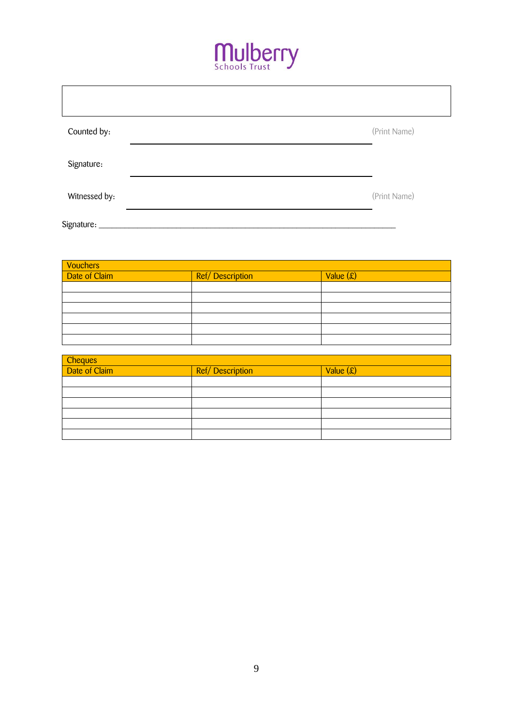

| Counted by:    | (Print Name) |
|----------------|--------------|
| Signature:     |              |
| Witnessed by:  | (Print Name) |
| Signature: ___ |              |

| <b>Vouchers</b> |                 |             |
|-----------------|-----------------|-------------|
| Date of Claim   | Ref/Description | Value $(x)$ |
|                 |                 |             |
|                 |                 |             |
|                 |                 |             |
|                 |                 |             |
|                 |                 |             |
|                 |                 |             |

| Cheques<br>Date of Claim | <b>Ref/Description</b> | Value $(\hat{\mathbf{x}})$ |  |  |  |
|--------------------------|------------------------|----------------------------|--|--|--|
|                          |                        |                            |  |  |  |
|                          |                        |                            |  |  |  |
|                          |                        |                            |  |  |  |
|                          |                        |                            |  |  |  |
|                          |                        |                            |  |  |  |
|                          |                        |                            |  |  |  |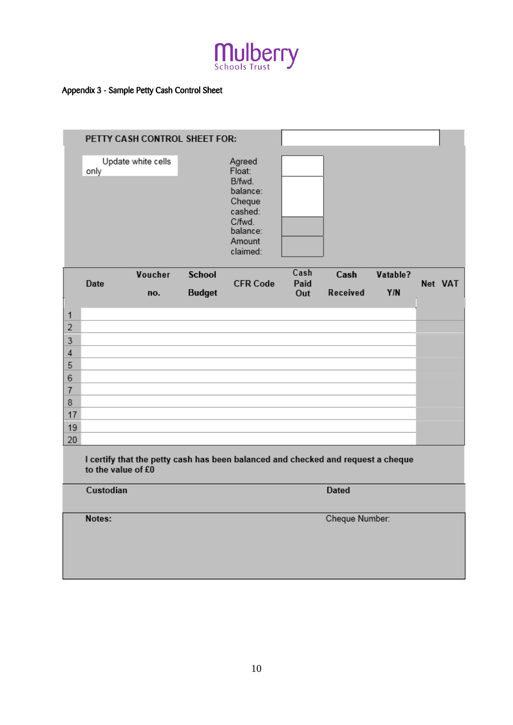

# Appendix 3 - Sample Petty Cash Control Sheet

|                     |                    | PETTY CASH CONTROL SHEET FOR: |               |                                                                                                         |              |                 |          |         |  |
|---------------------|--------------------|-------------------------------|---------------|---------------------------------------------------------------------------------------------------------|--------------|-----------------|----------|---------|--|
|                     | only               | Update white cells            |               | Agreed<br>Float:<br>B/fwd.<br>balance:<br>Cheque<br>cashed:<br>C/fwd.<br>balance:<br>Amount<br>claimed: |              |                 |          |         |  |
|                     | Date               | Voucher                       | <b>School</b> | <b>CFR Code</b>                                                                                         | Cash<br>Paid | Cash            | Vatable? | Net VAT |  |
|                     |                    | no.                           | <b>Budget</b> |                                                                                                         | Out          | <b>Received</b> | Y/N      |         |  |
| $\mathbf{1}$        |                    |                               |               |                                                                                                         |              |                 |          |         |  |
| $\overline{2}$      |                    |                               |               |                                                                                                         |              |                 |          |         |  |
| 3                   |                    |                               |               |                                                                                                         |              |                 |          |         |  |
| $\sqrt{4}$          |                    |                               |               |                                                                                                         |              |                 |          |         |  |
| 5                   |                    |                               |               |                                                                                                         |              |                 |          |         |  |
| 6<br>$\overline{7}$ |                    |                               |               |                                                                                                         |              |                 |          |         |  |
| $\bf 8$             |                    |                               |               |                                                                                                         |              |                 |          |         |  |
| 17                  |                    |                               |               |                                                                                                         |              |                 |          |         |  |
| 19                  |                    |                               |               |                                                                                                         |              |                 |          |         |  |
| 20                  |                    |                               |               |                                                                                                         |              |                 |          |         |  |
|                     | to the value of £0 |                               |               | I certify that the petty cash has been balanced and checked and request a cheque                        |              |                 |          |         |  |
|                     | Custodian          |                               |               |                                                                                                         |              | <b>Dated</b>    |          |         |  |
|                     | Notes:             |                               |               |                                                                                                         |              | Cheque Number:  |          |         |  |
|                     |                    |                               |               |                                                                                                         |              |                 |          |         |  |
|                     |                    |                               |               |                                                                                                         |              |                 |          |         |  |
|                     |                    |                               |               |                                                                                                         |              |                 |          |         |  |
|                     |                    |                               |               |                                                                                                         |              |                 |          |         |  |